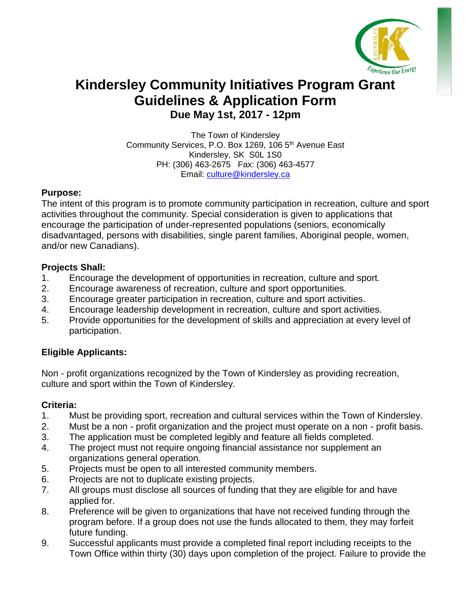

# **Kindersley Community Initiatives Program Grant Guidelines & Application Form Due May 1st, 2017 - 12pm**

The Town of Kindersley Community Services, P.O. Box 1269, 106 5<sup>th</sup> Avenue East Kindersley, SK S0L 1S0 PH: (306) 463-2675 Fax: (306) 463-4577 Email: [culture@kindersley.ca](mailto:culture@kindersley.ca)

### **Purpose:**

The intent of this program is to promote community participation in recreation, culture and sport activities throughout the community. Special consideration is given to applications that encourage the participation of under-represented populations (seniors, economically disadvantaged, persons with disabilities, single parent families, Aboriginal people, women, and/or new Canadians).

### **Projects Shall:**

- 1. Encourage the development of opportunities in recreation, culture and sport.
- 2. Encourage awareness of recreation, culture and sport opportunities.
- 3. Encourage greater participation in recreation, culture and sport activities.
- 4. Encourage leadership development in recreation, culture and sport activities.
- 5. Provide opportunities for the development of skills and appreciation at every level of participation.

### **Eligible Applicants:**

Non - profit organizations recognized by the Town of Kindersley as providing recreation, culture and sport within the Town of Kindersley.

### **Criteria:**

- 1. Must be providing sport, recreation and cultural services within the Town of Kindersley.
- 2. Must be a non profit organization and the project must operate on a non profit basis.
- 3. The application must be completed legibly and feature all fields completed.
- 4. The project must not require ongoing financial assistance nor supplement an organizations general operation.
- 5. Projects must be open to all interested community members.
- 6. Projects are not to duplicate existing projects.
- 7. All groups must disclose all sources of funding that they are eligible for and have applied for.
- 8. Preference will be given to organizations that have not received funding through the program before. If a group does not use the funds allocated to them, they may forfeit future funding.
- 9. Successful applicants must provide a completed final report including receipts to the Town Office within thirty (30) days upon completion of the project. Failure to provide the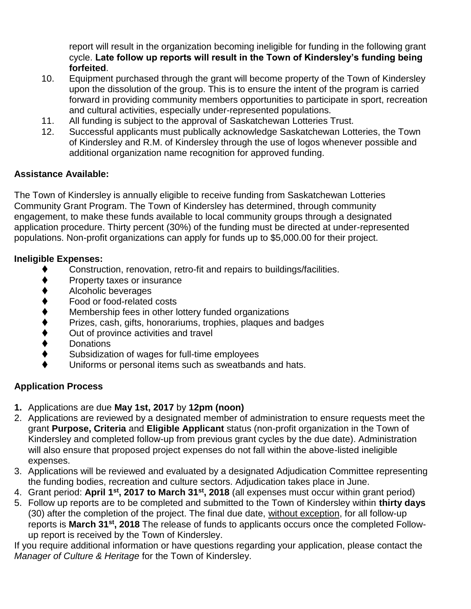report will result in the organization becoming ineligible for funding in the following grant cycle. **Late follow up reports will result in the Town of Kindersley's funding being forfeited**.

- 10. Equipment purchased through the grant will become property of the Town of Kindersley upon the dissolution of the group. This is to ensure the intent of the program is carried forward in providing community members opportunities to participate in sport, recreation and cultural activities, especially under-represented populations.
- 11. All funding is subject to the approval of Saskatchewan Lotteries Trust.
- 12. Successful applicants must publically acknowledge Saskatchewan Lotteries, the Town of Kindersley and R.M. of Kindersley through the use of logos whenever possible and additional organization name recognition for approved funding.

### **Assistance Available:**

The Town of Kindersley is annually eligible to receive funding from Saskatchewan Lotteries Community Grant Program. The Town of Kindersley has determined, through community engagement, to make these funds available to local community groups through a designated application procedure. Thirty percent (30%) of the funding must be directed at under-represented populations. Non-profit organizations can apply for funds up to \$5,000.00 for their project.

### **Ineligible Expenses:**

- Construction, renovation, retro-fit and repairs to buildings/facilities.
- Property taxes or insurance
- 
- Food or food-related costs
- Membership fees in other lottery funded organizations
- Prizes, cash, gifts, honorariums, trophies, plaques and badges
- ♦ Alcoholic beverages<br>
♦ Food or food-related<br>
Membership fees in<br>
Prizes, cash, gifts, ho<br>
Out of province activ<br>
Donations Out of province activities and travel
- **Donations**
- Subsidization of wages for full-time employees
- Uniforms or personal items such as sweatbands and hats.

### **Application Process**

- **1.** Applications are due **May 1st, 2017** by **12pm (noon)**
- 2. Applications are reviewed by a designated member of administration to ensure requests meet the grant **Purpose, Criteria** and **Eligible Applicant** status (non-profit organization in the Town of Kindersley and completed follow-up from previous grant cycles by the due date). Administration will also ensure that proposed project expenses do not fall within the above-listed ineligible expenses.
- 3. Applications will be reviewed and evaluated by a designated Adjudication Committee representing the funding bodies, recreation and culture sectors. Adjudication takes place in June.
- 4. Grant period: **April 1st, 2017 to March 31st, 2018** (all expenses must occur within grant period)
- 5. Follow up reports are to be completed and submitted to the Town of Kindersley within **thirty days** (30) after the completion of the project. The final due date, without exception, for all follow-up reports is **March 31st, 2018** The release of funds to applicants occurs once the completed Followup report is received by the Town of Kindersley.

If you require additional information or have questions regarding your application, please contact the *Manager of Culture & Heritage* for the Town of Kindersley.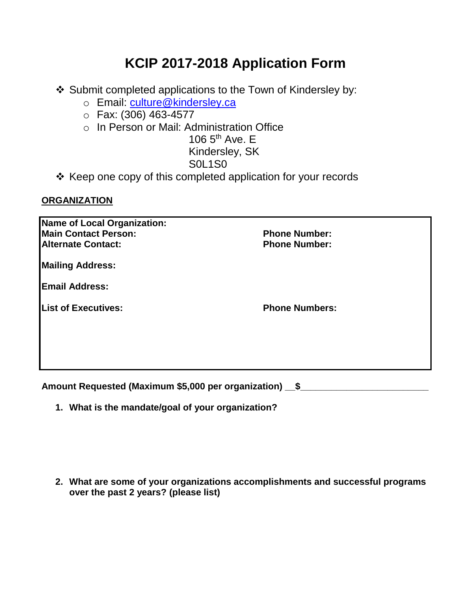# **KCIP 2017-2018 Application Form**

- ❖ Submit completed applications to the Town of Kindersley by:
	- o Email: [culture@kindersley.ca](mailto:culture@kindersley.ca)
	- o Fax: (306) 463-4577
	- o In Person or Mail: Administration Office

106  $5<sup>th</sup>$  Ave. E

Kindersley, SK

# S0L1S0

❖ Keep one copy of this completed application for your records

## **ORGANIZATION**

| Name of Local Organization: |                       |
|-----------------------------|-----------------------|
| <b>Main Contact Person:</b> | <b>Phone Number:</b>  |
| <b>Alternate Contact:</b>   | <b>Phone Number:</b>  |
| <b>Mailing Address:</b>     |                       |
| <b>Email Address:</b>       |                       |
| <b>List of Executives:</b>  | <b>Phone Numbers:</b> |
|                             |                       |
|                             |                       |
|                             |                       |

Amount Requested (Maximum \$5,000 per organization) \_\_\$\_\_\_\_\_\_\_\_\_\_\_\_\_\_\_\_\_\_\_\_\_\_\_\_\_\_

**1. What is the mandate/goal of your organization?**

**2. What are some of your organizations accomplishments and successful programs over the past 2 years? (please list)**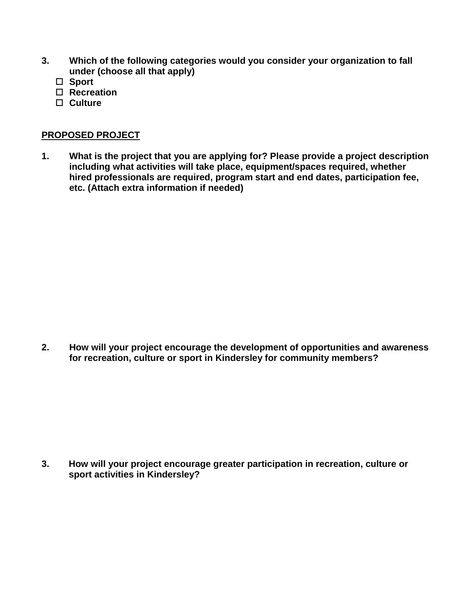- **3. Which of the following categories would you consider your organization to fall under (choose all that apply)**
	- **Sport**
	- **Recreation**
	- **Culture**

#### **PROPOSED PROJECT**

**1. What is the project that you are applying for? Please provide a project description including what activities will take place, equipment/spaces required, whether hired professionals are required, program start and end dates, participation fee, etc. (Attach extra information if needed)**

**2. How will your project encourage the development of opportunities and awareness for recreation, culture or sport in Kindersley for community members?**

**3. How will your project encourage greater participation in recreation, culture or sport activities in Kindersley?**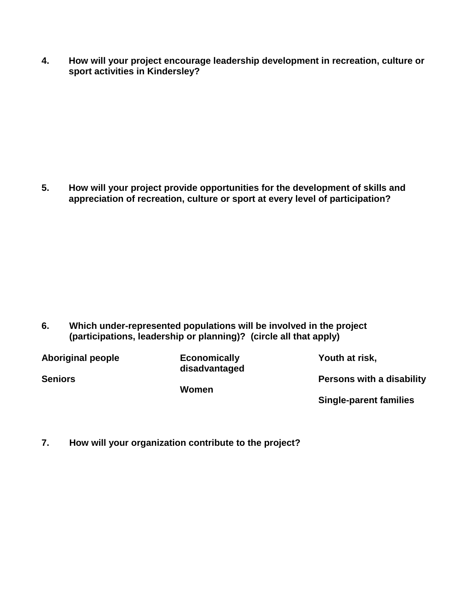**4. How will your project encourage leadership development in recreation, culture or sport activities in Kindersley?** 

**5. How will your project provide opportunities for the development of skills and appreciation of recreation, culture or sport at every level of participation?**

**6. Which under-represented populations will be involved in the project (participations, leadership or planning)? (circle all that apply)**

| <b>Aboriginal people</b> | <b>Economically</b><br>disadvantaged | Youth at risk,                   |
|--------------------------|--------------------------------------|----------------------------------|
| <b>Seniors</b>           | Women                                | <b>Persons with a disability</b> |
|                          |                                      | <b>Single-parent families</b>    |

**7. How will your organization contribute to the project?**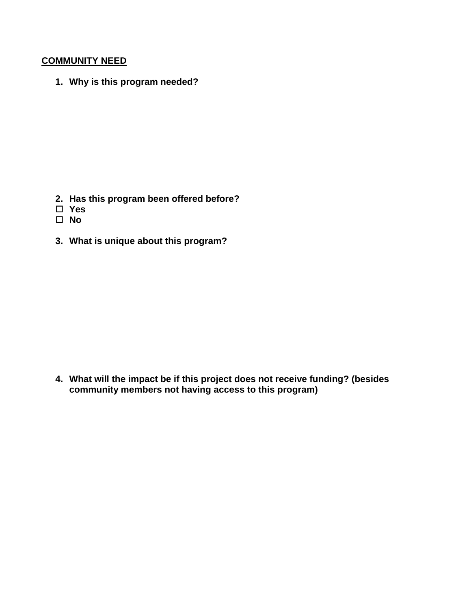### **COMMUNITY NEED**

**1. Why is this program needed?**

- **2. Has this program been offered before?**
- **Yes**
- **No**
- **3. What is unique about this program?**

**4. What will the impact be if this project does not receive funding? (besides community members not having access to this program)**